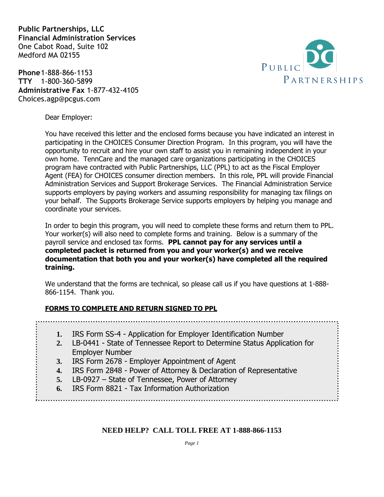**Public Partnerships, LLC Financial Administration Services** One Cabot Road, Suite 102 Medford MA 02155

**Phone**1-888-866-1153 **TTY** 1-800-360-5899 **Administrative Fax** 1-877-432-4105 Choices.agp@pcgus.com



Dear Employer:

You have received this letter and the enclosed forms because you have indicated an interest in participating in the CHOICES Consumer Direction Program. In this program, you will have the opportunity to recruit and hire your own staff to assist you in remaining independent in your own home. TennCare and the managed care organizations participating in the CHOICES program have contracted with Public Partnerships, LLC (PPL) to act as the Fiscal Employer Agent (FEA) for CHOICES consumer direction members. In this role, PPL will provide Financial Administration Services and Support Brokerage Services. The Financial Administration Service supports employers by paying workers and assuming responsibility for managing tax filings on your behalf. The Supports Brokerage Service supports employers by helping you manage and coordinate your services.

In order to begin this program, you will need to complete these forms and return them to PPL. Your worker(s) will also need to complete forms and training. Below is a summary of the payroll service and enclosed tax forms. **PPL cannot pay for any services until a completed packet is returned from you and your worker(s) and we receive documentation that both you and your worker(s) have completed all the required training.**

We understand that the forms are technical, so please call us if you have questions at 1-888- 866-1154. Thank you.

#### **FORMS TO COMPLETE AND RETURN SIGNED TO PPL**

- **1.** IRS Form SS-4 Application for Employer Identification Number
- **2.** LB-0441 State of Tennessee Report to Determine Status Application for Employer Number
- **3.** IRS Form 2678 Employer Appointment of Agent
- **4.** IRS Form 2848 Power of Attorney & Declaration of Representative
- **5.** LB-0927 State of Tennessee, Power of Attorney
- **6.** IRS Form 8821 Tax Information Authorization

#### **NEED HELP? CALL TOLL FREE AT 1-888-866-1153**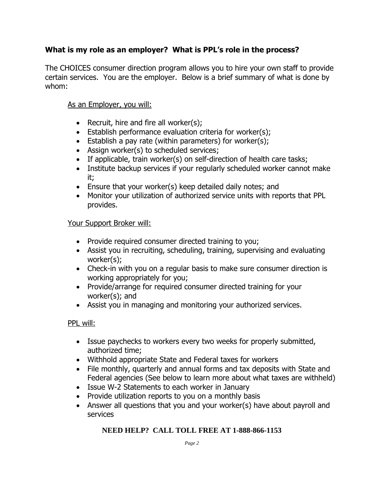#### **What is my role as an employer? What is PPL's role in the process?**

The CHOICES consumer direction program allows you to hire your own staff to provide certain services. You are the employer. Below is a brief summary of what is done by whom:

#### As an Employer, you will:

- Recruit, hire and fire all worker $(s)$ ;
- Establish performance evaluation criteria for worker(s);
- Establish a pay rate (within parameters) for worker(s);
- Assign worker(s) to scheduled services;
- If applicable, train worker(s) on self-direction of health care tasks;
- Institute backup services if your regularly scheduled worker cannot make it;
- Ensure that your worker(s) keep detailed daily notes; and
- Monitor your utilization of authorized service units with reports that PPL provides.

#### Your Support Broker will:

- Provide required consumer directed training to you;
- Assist you in recruiting, scheduling, training, supervising and evaluating worker(s);
- Check-in with you on a regular basis to make sure consumer direction is working appropriately for you;
- Provide/arrange for required consumer directed training for your worker(s); and
- Assist you in managing and monitoring your authorized services.

#### PPL will:

- Issue paychecks to workers every two weeks for properly submitted, authorized time;
- Withhold appropriate State and Federal taxes for workers
- File monthly, quarterly and annual forms and tax deposits with State and Federal agencies (See below to learn more about what taxes are withheld)
- Issue W-2 Statements to each worker in January
- Provide utilization reports to you on a monthly basis
- Answer all questions that you and your worker(s) have about payroll and services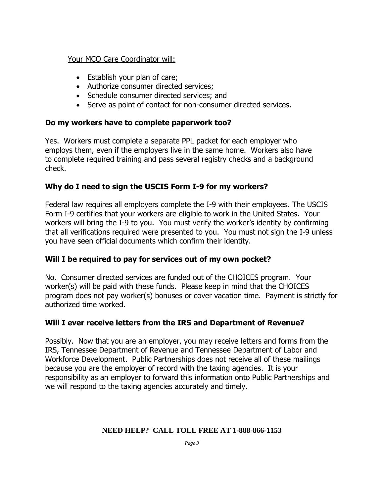#### Your MCO Care Coordinator will:

- Establish your plan of care;
- Authorize consumer directed services;
- Schedule consumer directed services; and
- Serve as point of contact for non-consumer directed services.

#### **Do my workers have to complete paperwork too?**

Yes. Workers must complete a separate PPL packet for each employer who employs them, even if the employers live in the same home. Workers also have to complete required training and pass several registry checks and a background check.

#### **Why do I need to sign the USCIS Form I-9 for my workers?**

Federal law requires all employers complete the I-9 with their employees. The USCIS Form I-9 certifies that your workers are eligible to work in the United States. Your workers will bring the I-9 to you. You must verify the worker's identity by confirming that all verifications required were presented to you. You must not sign the I-9 unless you have seen official documents which confirm their identity.

#### **Will I be required to pay for services out of my own pocket?**

No. Consumer directed services are funded out of the CHOICES program. Your worker(s) will be paid with these funds. Please keep in mind that the CHOICES program does not pay worker(s) bonuses or cover vacation time. Payment is strictly for authorized time worked.

#### **Will I ever receive letters from the IRS and Department of Revenue?**

Possibly. Now that you are an employer, you may receive letters and forms from the IRS, Tennessee Department of Revenue and Tennessee Department of Labor and Workforce Development. Public Partnerships does not receive all of these mailings because you are the employer of record with the taxing agencies. It is your responsibility as an employer to forward this information onto Public Partnerships and we will respond to the taxing agencies accurately and timely.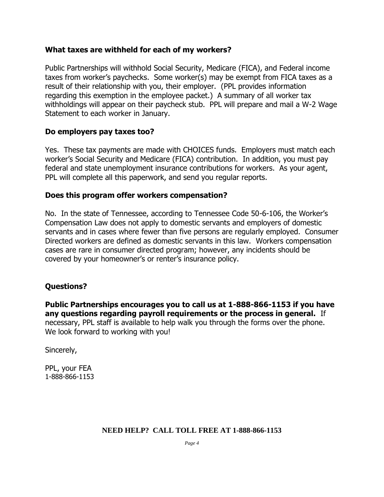#### **What taxes are withheld for each of my workers?**

Public Partnerships will withhold Social Security, Medicare (FICA), and Federal income taxes from worker's paychecks. Some worker(s) may be exempt from FICA taxes as a result of their relationship with you, their employer. (PPL provides information regarding this exemption in the employee packet.) A summary of all worker tax withholdings will appear on their paycheck stub. PPL will prepare and mail a W-2 Wage Statement to each worker in January.

#### **Do employers pay taxes too?**

Yes. These tax payments are made with CHOICES funds. Employers must match each worker's Social Security and Medicare (FICA) contribution. In addition, you must pay federal and state unemployment insurance contributions for workers. As your agent, PPL will complete all this paperwork, and send you regular reports.

#### **Does this program offer workers compensation?**

No. In the state of Tennessee, according to Tennessee Code 50-6-106, the Worker's Compensation Law does not apply to domestic servants and employers of domestic servants and in cases where fewer than five persons are regularly employed. Consumer Directed workers are defined as domestic servants in this law. Workers compensation cases are rare in consumer directed program; however, any incidents should be covered by your homeowner's or renter's insurance policy.

#### **Questions?**

**Public Partnerships encourages you to call us at 1-888-866-1153 if you have any questions regarding payroll requirements or the process in general.** If necessary, PPL staff is available to help walk you through the forms over the phone. We look forward to working with you!

Sincerely,

PPL, your FEA 1-888-866-1153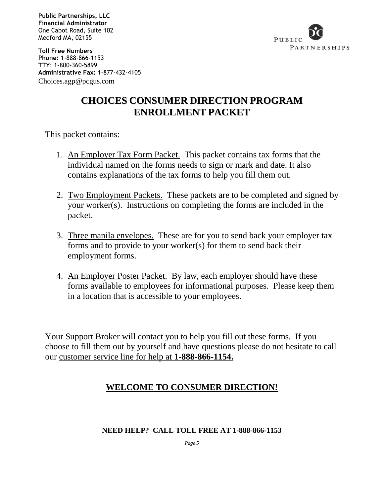**Public Partnerships, LLC Financial Administrator** One Cabot Road, Suite 102 Medford MA, 02155



**Toll Free Numbers Phone:** 1-888-866-1153 **TTY**: 1-800-360-5899 **Administrative Fax:** 1-877-432-4105 Choices.agp@pcgus.com

# **CHOICES CONSUMER DIRECTION PROGRAM ENROLLMENT PACKET**

This packet contains:

- 1. An Employer Tax Form Packet. This packet contains tax forms that the individual named on the forms needs to sign or mark and date. It also contains explanations of the tax forms to help you fill them out.
- 2. <u>Two Employment Packets.</u> These packets are to be completed and signed by your worker(s). Instructions on completing the forms are included in the packet.
- 3. Three manila envelopes. These are for you to send back your employer tax forms and to provide to your worker(s) for them to send back their employment forms.
- 4. An Employer Poster Packet. By law, each employer should have these forms available to employees for informational purposes. Please keep them in a location that is accessible to your employees.

Your Support Broker will contact you to help you fill out these forms. If you choose to fill them out by yourself and have questions please do not hesitate to call our customer service line for help at **1-888-866-1154.**

# **WELCOME TO CONSUMER DIRECTION!**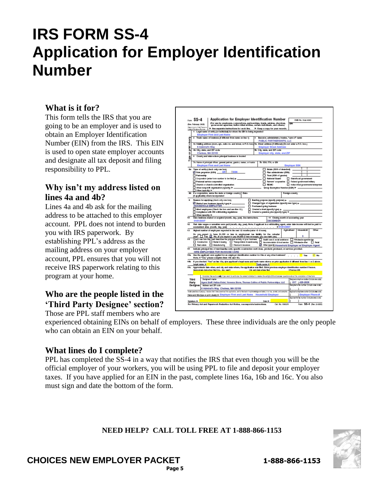# **IRS FORM SS-4 Application for Employer Identification Number**

#### **What is it for?**

This form tells the IRS that you are going to be an employer and is used to obtain an Employer Identification Number (EIN) from the IRS. This EIN is used to open state employer accounts and designate all tax deposit and filing responsibility to PPL.

#### **Why isn't my address listed on lines 4a and 4b?**

Lines 4a and 4b ask for the mailing address to be attached to this employer account. PPL does not intend to burden you with IRS paperwork. By establishing PPL's address as the mailing address on your employer account, PPL ensures that you will not receive IRS paperwork relating to this program at your home.

# **Who are the people listed in the 'Third Party Designee' section?**

Those are PPL staff members who are

| $F_{\text{cm}}$ SS-4<br>Flox February 2006<br>inani el Va Trassurg<br>Desar |                                                                                                                                    |                                                                                                                              | Application for Employer Identification Number<br>(For use by ersployers, corporations, partnerships, trusts, estates, ohurokes,<br>"government agencies, indian tribal entities, certain individuals, and others.) |                              |                                |                                                          |                                                          |                 | OMB No. 1545-8089   |                                                   |                  |
|-----------------------------------------------------------------------------|------------------------------------------------------------------------------------------------------------------------------------|------------------------------------------------------------------------------------------------------------------------------|---------------------------------------------------------------------------------------------------------------------------------------------------------------------------------------------------------------------|------------------------------|--------------------------------|----------------------------------------------------------|----------------------------------------------------------|-----------------|---------------------|---------------------------------------------------|------------------|
|                                                                             |                                                                                                                                    |                                                                                                                              |                                                                                                                                                                                                                     |                              |                                |                                                          |                                                          |                 | ъN                  |                                                   |                  |
|                                                                             | <b>Remove Red</b>                                                                                                                  |                                                                                                                              | In the expansive instructions for each line.<br>Legal name of entity for isolvicked for whom the EN in being regressed                                                                                              |                              |                                |                                                          | In Keep a copy for your records.                         |                 |                     |                                                   |                  |
|                                                                             |                                                                                                                                    |                                                                                                                              | <b>Employer First and Last Name</b>                                                                                                                                                                                 |                              |                                |                                                          |                                                          |                 |                     |                                                   |                  |
|                                                                             |                                                                                                                                    |                                                                                                                              | 2 Trade name of business (F different from name on line 1)                                                                                                                                                          |                              |                                |                                                          | Reacultor, administrator, trustee, "care of" name        |                 |                     |                                                   |                  |
|                                                                             |                                                                                                                                    |                                                                                                                              |                                                                                                                                                                                                                     |                              |                                |                                                          | PUBLIC PARTNERSHIPS, LLC                                 |                 |                     |                                                   |                  |
| <b>Altegio</b>                                                              |                                                                                                                                    |                                                                                                                              | 4s Maling address (room, apt., suite ro. and street, or P.O. box)                                                                                                                                                   |                              |                                |                                                          | Sa Street ackleam (Holtlerest (Do not enter a P.O. box.) |                 |                     |                                                   |                  |
| print                                                                       |                                                                                                                                    | 6 Admiral's Way                                                                                                              |                                                                                                                                                                                                                     |                              | <b>Employer Street Address</b> |                                                          |                                                          |                 |                     |                                                   |                  |
|                                                                             |                                                                                                                                    |                                                                                                                              | 4b City, state, and ZIP code                                                                                                                                                                                        |                              |                                | 5b City, state, and ZIP code                             |                                                          |                 |                     |                                                   |                  |
| ŏ                                                                           |                                                                                                                                    |                                                                                                                              | Chelsea, MA 02150                                                                                                                                                                                                   |                              |                                | Employer city, state, and ZIP                            |                                                          |                 |                     |                                                   |                  |
| ĝ                                                                           | County and state where principal business is located                                                                               |                                                                                                                              |                                                                                                                                                                                                                     |                              |                                |                                                          |                                                          |                 |                     |                                                   |                  |
|                                                                             |                                                                                                                                    |                                                                                                                              | 7s Name of principal officer, general partner, grantor, owner, or trantor                                                                                                                                           |                              | 7b GOM, ITH, or EN             |                                                          |                                                          |                 |                     |                                                   |                  |
|                                                                             |                                                                                                                                    |                                                                                                                              | <b>Employer First and Last Name</b>                                                                                                                                                                                 |                              |                                |                                                          |                                                          |                 | <b>Employer SSN</b> |                                                   |                  |
|                                                                             |                                                                                                                                    |                                                                                                                              | Ga Type of estity is back only one box)                                                                                                                                                                             |                              |                                |                                                          | Estate (SSN of deaschat)                                 |                 |                     |                                                   |                  |
|                                                                             |                                                                                                                                    |                                                                                                                              | Cole proprision (SSN) _                                                                                                                                                                                             | <b>SSN</b>                   |                                |                                                          | Plan administrator (DSN)                                 |                 |                     |                                                   |                  |
|                                                                             | Patrentip                                                                                                                          |                                                                                                                              | Corporation (enter form sumber to be filed) a-                                                                                                                                                                      |                              |                                |                                                          | Trust (SGN of grastor)<br><b>Batterial Guard</b>         |                 |                     | Giatellocal government                            |                  |
|                                                                             |                                                                                                                                    |                                                                                                                              | Personal service corporation                                                                                                                                                                                        |                              |                                |                                                          | Farmen' cooperative E Federal government/military        |                 |                     |                                                   |                  |
|                                                                             |                                                                                                                                    |                                                                                                                              | Church or church-controlled organization                                                                                                                                                                            |                              |                                |                                                          | $\Box$ REMO:                                             |                 |                     | Indian tribal governments/enterprises             |                  |
|                                                                             |                                                                                                                                    |                                                                                                                              | Other nonprofit organization (specify) F                                                                                                                                                                            |                              |                                |                                                          | Group Exemption Number (GER) P                           |                 |                     |                                                   |                  |
|                                                                             |                                                                                                                                    | Other (spacing in                                                                                                            |                                                                                                                                                                                                                     |                              |                                |                                                          |                                                          |                 |                     |                                                   |                  |
|                                                                             |                                                                                                                                    |                                                                                                                              | 6b F a corporation, surre the state or foreign country Olste<br>(T applicable) where iscorporated                                                                                                                   |                              |                                |                                                          |                                                          | Foreign coesity |                     |                                                   |                  |
|                                                                             |                                                                                                                                    |                                                                                                                              |                                                                                                                                                                                                                     |                              |                                |                                                          |                                                          |                 |                     |                                                   |                  |
|                                                                             |                                                                                                                                    |                                                                                                                              | Reserve for applying (check only cas bow)                                                                                                                                                                           |                              |                                |                                                          | □ Вавива разрове (вресії) разрова) в-                    |                 |                     |                                                   |                  |
|                                                                             |                                                                                                                                    | $\Box$ Changed type of organization (specify new type) $\mu$ .<br>Obried see business (specify type) ><br>HOUSEHOLD EMPLOYER |                                                                                                                                                                                                                     |                              |                                |                                                          |                                                          |                 |                     |                                                   |                  |
|                                                                             |                                                                                                                                    | Perchannel going business<br>□ Created a trust (specifylype) ≥ .<br>Hired employees (Cleck the box and use line 12.)         |                                                                                                                                                                                                                     |                              |                                |                                                          |                                                          |                 |                     |                                                   |                  |
|                                                                             |                                                                                                                                    | Complance with IRS withholding regulations<br>п<br>Created a peasics plus (specifytype) >                                    |                                                                                                                                                                                                                     |                              |                                |                                                          |                                                          |                 |                     |                                                   |                  |
|                                                                             |                                                                                                                                    | Other (specify) >                                                                                                            |                                                                                                                                                                                                                     |                              |                                |                                                          |                                                          |                 |                     |                                                   |                  |
| ٠ñ                                                                          |                                                                                                                                    |                                                                                                                              | Date bestress studed or scquired jmonth, day, year). See instructions.                                                                                                                                              |                              |                                |                                                          | 11 Cleang menth of accounting year                       |                 |                     |                                                   |                  |
| 12                                                                          | 01/01/2007                                                                                                                         |                                                                                                                              |                                                                                                                                                                                                                     |                              |                                |                                                          | DECEMBER                                                 |                 |                     |                                                   |                  |
|                                                                             |                                                                                                                                    |                                                                                                                              | First date wages or annuities were paid (mosth, ciny, year). Note, if applicant is a withholding agent, enter date income will timt be paid to                                                                      |                              |                                |                                                          |                                                          |                 |                     |                                                   |                  |
| 13                                                                          |                                                                                                                                    |                                                                                                                              | Highest number of employees expected in the next 12 months (enter -0- if none).                                                                                                                                     |                              |                                |                                                          |                                                          | Agricultural    |                     | Housebold                                         | Other            |
|                                                                             | Do you                                                                                                                             |                                                                                                                              | so pact to have \$1,000 or less in employment tax liability for the calendar                                                                                                                                        |                              |                                |                                                          |                                                          |                 |                     |                                                   |                  |
|                                                                             |                                                                                                                                    |                                                                                                                              | year? The Mo. (if you expect to pay \$4,000 or less in wages, you can mark year)                                                                                                                                    |                              |                                |                                                          |                                                          |                 |                     | з                                                 |                  |
|                                                                             |                                                                                                                                    |                                                                                                                              | Check eas bow that best describes the principal activity of your business. [1] Health case & social assistance [1] Wholesale-spenkterolar                                                                           |                              |                                |                                                          |                                                          |                 |                     |                                                   |                  |
|                                                                             |                                                                                                                                    |                                                                                                                              | □ Construction □ Rental & leasing □ Transportation & warehousing □ Accommodation & local service □ Wholesale-ofter                                                                                                  |                              |                                |                                                          |                                                          |                 |                     |                                                   | <b>District</b>  |
|                                                                             |                                                                                                                                    |                                                                                                                              | Real estate Manufacturing                                                                                                                                                                                           | <b>E</b> Finance & Insurance |                                |                                                          | T Ofter (specify) Household Employer w/ Employer Agent   |                 |                     |                                                   |                  |
| 15                                                                          |                                                                                                                                    |                                                                                                                              | indicate principal line of merchandiae noid, apacific countraction work does, products produced, or nervises provided.                                                                                              |                              |                                |                                                          |                                                          |                 |                     |                                                   |                  |
| <b>15a</b>                                                                  |                                                                                                                                    |                                                                                                                              | HIRE EMPLOYEES FOR IN-HOUSE CARE<br>Has the applicant ever applied for an employer identification number for this or any other business?                                                                            |                              |                                |                                                          |                                                          |                 |                     | <b>Yes</b>                                        | <b>No</b>        |
|                                                                             |                                                                                                                                    |                                                                                                                              | Note. If "Yes," please complete from 16b and 10c.                                                                                                                                                                   |                              |                                |                                                          |                                                          |                 |                     |                                                   |                  |
| 186                                                                         | Legal name in                                                                                                                      |                                                                                                                              | If you checked "Yea" on line 15a, give applicant's legal name and tode name shows on prior application if different from line 1 or 2 above.                                                                         |                              |                                | Trade same >                                             |                                                          |                 |                     |                                                   |                  |
| 160                                                                         |                                                                                                                                    |                                                                                                                              | Approximate date when, and city and state where, the application was filed. Enter previous employer identification number if locave.                                                                                |                              |                                |                                                          |                                                          |                 |                     |                                                   |                  |
|                                                                             |                                                                                                                                    |                                                                                                                              | Asceco imate date when filed (mo., day, year) [                                                                                                                                                                     |                              |                                | City and state where filed                               |                                                          |                 | <b>IPrecise EN</b>  |                                                   |                  |
|                                                                             |                                                                                                                                    |                                                                                                                              |                                                                                                                                                                                                                     |                              |                                |                                                          |                                                          |                 |                     |                                                   |                  |
|                                                                             |                                                                                                                                    |                                                                                                                              | Complets this section carly if you want to sufforce the named individual to receive the entity's GIN and answer questions about the completion of this form.                                                        |                              |                                |                                                          |                                                          |                 |                     |                                                   |                  |
|                                                                             | <b>Third</b>                                                                                                                       | Designee's name                                                                                                              |                                                                                                                                                                                                                     |                              |                                |                                                          |                                                          |                 |                     | Casignaels (silephone mumber (include some code)  |                  |
|                                                                             | Agent Staff: Halins Kisiel, Vaneesa Stone, Thomas Collins of Public Partnershipe, LLC<br>Party<br>Designee<br>Address and ZIP code |                                                                                                                              |                                                                                                                                                                                                                     |                              |                                | 617 1426-2026<br>Designer's for number (holizie systems) |                                                          |                 |                     |                                                   |                  |
|                                                                             |                                                                                                                                    |                                                                                                                              | 6 Admiral's Way Chelses, MA 02150                                                                                                                                                                                   |                              |                                |                                                          |                                                          |                 |                     |                                                   |                  |
|                                                                             |                                                                                                                                    |                                                                                                                              | Undergenalise of perjury, I-factory fitablises continud fits systemize, and to the basic implementation and ballet, it is free, correct, and complete.                                                              |                              |                                |                                                          |                                                          |                 |                     | Applicant's injustine exercise include attention. |                  |
|                                                                             |                                                                                                                                    |                                                                                                                              | Now and this type or print clearly) in Employer First and Last Name Household Employer                                                                                                                              |                              |                                |                                                          |                                                          |                 |                     |                                                   | Employer Phone # |
|                                                                             |                                                                                                                                    |                                                                                                                              |                                                                                                                                                                                                                     |                              |                                |                                                          |                                                          |                 |                     | Applicant's fax number include amo occiti         |                  |
|                                                                             |                                                                                                                                    |                                                                                                                              |                                                                                                                                                                                                                     |                              |                                |                                                          |                                                          |                 |                     |                                                   |                  |

experienced obtaining EINs on behalf of employers. These three individuals are the only people who can obtain an EIN on your behalf.

#### **What lines do I complete?**

PPL has completed the SS-4 in a way that notifies the IRS that even though you will be the official employer of your workers, you will be using PPL to file and deposit your employer taxes. If you have applied for an EIN in the past, complete lines 16a, 16b and 16c. You also must sign and date the bottom of the form.

#### **NEED HELP? CALL TOLL FREE AT 1-888-866-1153**



**CHOICES NEW EMPLOYER PACKET 1-888-866-1153 Page 5**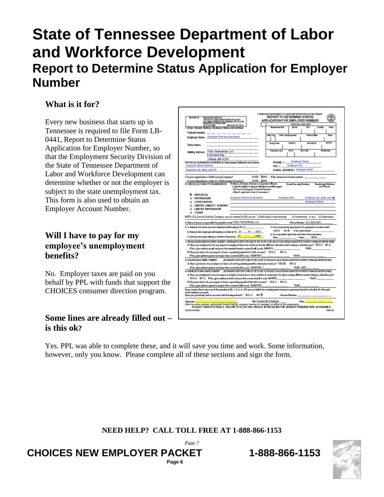# **State of Tennessee Department of Labor and Workforce Development Report to Determine Status Application for Employer Number**

### **What is it for?**

Every new business that starts up in Tennessee is required to file Form LB-0441, Report to Determine Status Application for Employer Number, so that the Employment Security Division of the State of Tennessee Department of Labor and Workforce Development can determine whether or not the employer is subject to the state unemployment tax. This form is also used to obtain an Employer Account Number.

#### **Will I have to pay for my employee's unemployment benefits?**

No. Employer taxes are paid on you behalf by PPL with funds that support the CHOICES consumer direction program.

#### **Some lines are already filled out – is this ok?**

|                                                           | EMPLOYER SERVICES<br>TN DEPT OF LABOR AND WORKFORCE DEV<br><b>ROLLYWELFRIENELEGALEMENWAY ATH R. DOR</b><br>6451741-2480                                                                                                                                                                                                                                                                                                                                                   | FAX (815) 741-7214 |                                                                                                                                | <b>REPORT TO DETERMINE STATUS</b><br><b>APPLICATION FOR EMPLOYER NUMBER</b>        |                                                                                | OFFICIAL USE ONLY                                     |                                         |              |
|-----------------------------------------------------------|---------------------------------------------------------------------------------------------------------------------------------------------------------------------------------------------------------------------------------------------------------------------------------------------------------------------------------------------------------------------------------------------------------------------------------------------------------------------------|--------------------|--------------------------------------------------------------------------------------------------------------------------------|------------------------------------------------------------------------------------|--------------------------------------------------------------------------------|-------------------------------------------------------|-----------------------------------------|--------------|
|                                                           | .Enler Federal Number, Business Name and Address                                                                                                                                                                                                                                                                                                                                                                                                                          |                    |                                                                                                                                | Tennessee   D#                                                                     | <b>M No.</b>                                                                   | 94.07                                                 | County                                  | Area         |
| Federal Number                                            |                                                                                                                                                                                                                                                                                                                                                                                                                                                                           |                    |                                                                                                                                |                                                                                    |                                                                                |                                                       |                                         |              |
|                                                           | Employer Name Employer First and Last Name                                                                                                                                                                                                                                                                                                                                                                                                                                |                    |                                                                                                                                | Link Org.                                                                          | <b>First Employment</b>                                                        | District Indulus                                      |                                         | Date         |
| Trade Name                                                |                                                                                                                                                                                                                                                                                                                                                                                                                                                                           |                    |                                                                                                                                | Corre Year                                                                         | <b>NAICS</b>                                                                   | <b>M-NAICG</b>                                        |                                         | <b>M-SIC</b> |
|                                                           | Maling Address Public Partnerships, LLC<br>6 Admiral's Way                                                                                                                                                                                                                                                                                                                                                                                                                |                    |                                                                                                                                | Previous No.                                                                       | <b>BOC</b>                                                                     | <b>ALL YEARS</b><br>$\overline{w}$ and $\overline{w}$ |                                         |              |
| Employer Street Address<br>Employer city, state, and ZIP. | Chelsea, MA 02150<br>PHYSICAL BUSINESS ADDRESS in Tennessee (Iditionant from above:                                                                                                                                                                                                                                                                                                                                                                                       |                    |                                                                                                                                | PHONE: [                                                                           | <b>Employer Phone</b><br>FAX: ( Employer Fax<br>E-MAIL ADDRESS: Employer Email |                                                       |                                         |              |
|                                                           |                                                                                                                                                                                                                                                                                                                                                                                                                                                                           |                    | <b>OYES XINO</b>                                                                                                               | HYes, Tennessee lipense number                                                     |                                                                                |                                                       |                                         |              |
|                                                           | 2. In your organization a Staff Leasing Company?<br>System of primarily a location of a student of a student                                                                                                                                                                                                                                                                                                                                                              |                    | <b>OYES XONO</b>                                                                                                               |                                                                                    |                                                                                |                                                       |                                         |              |
|                                                           | 3. CHECK (X) FOR HOF OR CAN ZATION                                                                                                                                                                                                                                                                                                                                                                                                                                        |                    | 4. Name of Owner, Partners, Corporate Officers<br>(Filipard Managed), Gormenl Partners<br>(Attach separate sheet if necessary) | Limited Liability Company Members and Managers                                     | Social Security Number                                                         |                                                       | <b>Dauide réal Address</b><br>and Phone |              |
| <b>XI INDIVIDUAL</b><br><b>D PARTNERSHIP</b>              |                                                                                                                                                                                                                                                                                                                                                                                                                                                                           |                    | <b>Employer First and Last Name</b>                                                                                            |                                                                                    | Employer SSN                                                                   |                                                       | Employer city, state, and 201           |              |
| <b>CORPORATION</b><br>n                                   |                                                                                                                                                                                                                                                                                                                                                                                                                                                                           |                    |                                                                                                                                |                                                                                    |                                                                                |                                                       | <b>Employer Phone</b>                   |              |
|                                                           | <b>EL LIMITED LIABILITY COMPANY</b>                                                                                                                                                                                                                                                                                                                                                                                                                                       |                    |                                                                                                                                |                                                                                    |                                                                                |                                                       |                                         |              |
|                                                           | <b>D. LIMTED PARTNERSHIP</b>                                                                                                                                                                                                                                                                                                                                                                                                                                              |                    |                                                                                                                                |                                                                                    |                                                                                |                                                       |                                         |              |
| <b>D OTHER</b>                                            |                                                                                                                                                                                                                                                                                                                                                                                                                                                                           |                    |                                                                                                                                |                                                                                    |                                                                                |                                                       |                                         |              |
|                                                           | NOTE: If a Limited Liability Company, are you treated by IRS as a(n) [I] Individual Proprietorship                                                                                                                                                                                                                                                                                                                                                                        |                    |                                                                                                                                |                                                                                    |                                                                                | □ Partnership or as a □ Corporation                   |                                         |              |
|                                                           | 6. Name of person responsible for payrol records Public Partnerships, LLC                                                                                                                                                                                                                                                                                                                                                                                                 |                    |                                                                                                                                |                                                                                    |                                                                                | Phone Number 617-426-2026                             |                                         |              |
|                                                           | 6. A. Number of workers you have employed (will employ) in TN $\frac{3}{2}$                                                                                                                                                                                                                                                                                                                                                                                               |                    |                                                                                                                                |                                                                                    | D. An you presently reporting for UI . purposes is a soften state?             |                                                       |                                         |              |
|                                                           |                                                                                                                                                                                                                                                                                                                                                                                                                                                                           |                    | /2007                                                                                                                          |                                                                                    | YES EIND & Flex, which state?                                                  |                                                       |                                         |              |
|                                                           |                                                                                                                                                                                                                                                                                                                                                                                                                                                                           |                    |                                                                                                                                |                                                                                    |                                                                                |                                                       |                                         |              |
|                                                           | El. Daievyou tiast employed (will employ) a worker is TH 01 / 01<br>C. Date you fint paid (will pay) a worker is Tennessee. <mark> 01 </mark>                                                                                                                                                                                                                                                                                                                             |                    | $12007 -$                                                                                                                      | Date /                                                                             | E. If a corporation, give Date and State of Incorporation.                     | / State DNo.                                          |                                         |              |
|                                                           | 7. REGULAR BUSINESS EMPLOYMENT (SERARATE REPORTS MUST BE FILED FOR EACH CALENDAR QUARTER IN WACH WAGES WERE RADI<br>A. Have you employed or do you expect to employ at least one worker in twenty different calendar weeks during a calendar year? YES [3] NO [3]<br>(Files, give earliest month and year the twentieth week occurred (will occur). MONTH ______________<br>E. Have you had or do you expect to have a quarterly payroll of \$1,500 or more? YES [] NO [] |                    |                                                                                                                                |                                                                                    |                                                                                |                                                       |                                         |              |
|                                                           | If You, give earliest quarter and year this occurred (will occur). QUARTER                                                                                                                                                                                                                                                                                                                                                                                                |                    |                                                                                                                                |                                                                                    | <b>YEAR</b>                                                                    |                                                       |                                         |              |
| <b>&amp; HOUSEHOLD EMPLOYMENT</b>                         |                                                                                                                                                                                                                                                                                                                                                                                                                                                                           |                    |                                                                                                                                | SERARATE REPORTS MUST BE FILED FOR EACH CALENDAR QUARTER IN WHICH WAGES WER EPAID! | NO EL                                                                          |                                                       |                                         |              |
|                                                           | A. Have you had or do you expect to have a \$1,000 quarterly payroll for domestic services? YES @                                                                                                                                                                                                                                                                                                                                                                         |                    |                                                                                                                                |                                                                                    | <b>YEAR 2007</b>                                                               |                                                       |                                         |              |
|                                                           | $WW$ es, give earliest quarter and year this occurred (will coour). QUARTER $\frac{1}{\sqrt{2}}$<br>a. ACRICULTURAL EMPLOYMENT / SERARATE REPORTS NUST BE FILED FOR EACH CALENDAR QUARTER IN WACH WACES WEREPADY                                                                                                                                                                                                                                                          |                    |                                                                                                                                |                                                                                    |                                                                                |                                                       |                                         |              |
|                                                           | A. Have you employed or do you expect to employ at least ten or more workers in some part of a day interesty different weeks claring a calendar year?                                                                                                                                                                                                                                                                                                                     |                    |                                                                                                                                |                                                                                    |                                                                                |                                                       | <b>YEAR</b>                             |              |
|                                                           | YES □ NO □ F‱, give earliest month and year this occurred (ed) occur). MONTH _____________________<br>E. Have you had or do you expect to have a quarterly payrol of \$20,000 or more? YES [] NO []                                                                                                                                                                                                                                                                       |                    |                                                                                                                                |                                                                                    |                                                                                |                                                       |                                         |              |
|                                                           | If You, give earliest quarter and year this occurred (will cocur). QUARTER_                                                                                                                                                                                                                                                                                                                                                                                               |                    |                                                                                                                                |                                                                                    | <b>YEAR</b>                                                                    |                                                       |                                         |              |
| each employee per year.                                   | Hyou answer Yes to any one of the questions 6D, 7, 8, 9, or 10F, you are liable for unemployment insurance premiums based on the first \$7,000 paid<br>Have you previously had an account with this department? YES EI                                                                                                                                                                                                                                                    |                    | NO IS                                                                                                                          |                                                                                    | AccountNumber                                                                  |                                                       |                                         |              |

Yes. PPL was able to complete these, and it will save you time and work. Some information, however, only you know. Please complete all of these sections and sign the form.

> **NEED HELP? CALL TOLL FREE AT 1-888-866-1153** *Page 7*

**CHOICES NEW EMPLOYER PACKET 1-888-866-1153 Page 6**

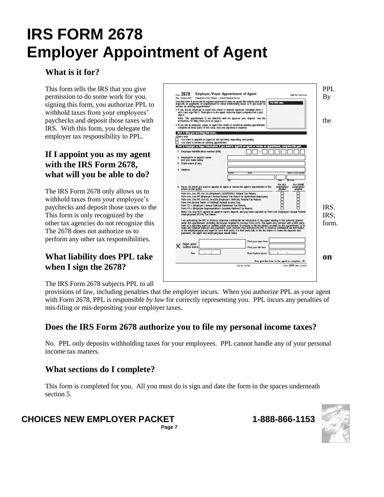# **IRS FORM 2678 Employer Appointment of Agent**

### **What is it for?**

signing this form, you authorize PPL to withhold taxes from your employees' IRS. With this form, you delegate the employer tax responsibility to PPL.

#### **If I appoint you as my agent with the IRS Form 2678, what will you be able to do?**

The IRS Form 2678 only allows us to withhold taxes from your employee's The 2678 does not authorize us to perform any other tax responsibilities.

# **when I sign the 2678?**

The IRS Form 2678 subjects PPL to all



provisions of law, including penalties that the employer incurs. When you authorize PPL as your agent with Form 2678, PPL is responsible *by law* for correctly representing you. PPL incurs any penalties of mis-filing or mis-depositing your employer taxes.

# **Does the IRS Form 2678 authorize you to file my personal income taxes?**

No. PPL only deposits withholding taxes for your employees. PPL cannot handle any of your personal income tax matters.

### **What sections do I complete?**

This form is completed for you. All you must do is sign and date the form in the spaces underneath section 5.

**NEED HELP**<br>**NEED HELP** 

**CHOICES NEW EMPLOYER PACKET 1-888-866-1153 Page 7**

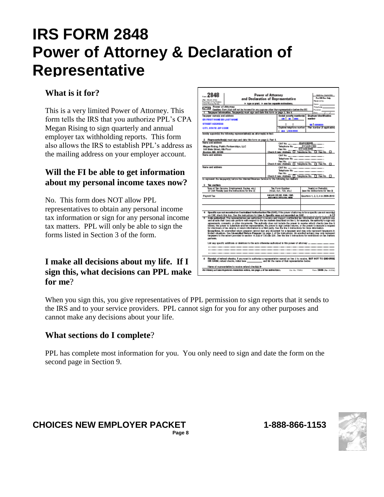# **IRS FORM 2848 Power of Attorney & Declaration of Representative**

#### **What is it for?**

This is a very limited Power of Attorney. This form tells the IRS that you authorize PPL's CPA Megan Rising to sign quarterly and annual employer tax withholding reports. This form also allows the IRS to establish PPL's address as the mailing address on your employer account.

### **Will the FI be able to get information about my personal income taxes now?**

No. This form does NOT allow PPL representatives to obtain any personal income tax information or sign for any personal income tax matters. PPL will only be able to sign the forms listed in Section 3 of the form.

#### **I make all decisions about my life. If I sign this, what decisions can PPL make for me**?

| $-2848$                                                                                                                                                                                                                        | <b>Power of Attorney</b><br>OAR No. 1441-0181                                                                                                                                                                                                                  |                                                                                                                                |                                                           |  |  |  |  |  |  |
|--------------------------------------------------------------------------------------------------------------------------------------------------------------------------------------------------------------------------------|----------------------------------------------------------------------------------------------------------------------------------------------------------------------------------------------------------------------------------------------------------------|--------------------------------------------------------------------------------------------------------------------------------|-----------------------------------------------------------|--|--|--|--|--|--|
|                                                                                                                                                                                                                                | and Declaration of Representative                                                                                                                                                                                                                              | <b>Part 80 Res Only</b>                                                                                                        |                                                           |  |  |  |  |  |  |
| <b>No. March 2010</b><br>Department of this Treasure                                                                                                                                                                           |                                                                                                                                                                                                                                                                | Pleasains of Dec.                                                                                                              |                                                           |  |  |  |  |  |  |
| > type or prait. > essites reparate autouchers.<br>Internal Reserve Tender<br>Sen _<br>Power of Attorney                                                                                                                       |                                                                                                                                                                                                                                                                |                                                                                                                                |                                                           |  |  |  |  |  |  |
| Telephone __<br>-11<br>Gestion: Form 2010 will not be incomed for any purpose other than representation before the IRS.<br>Funation:                                                                                           |                                                                                                                                                                                                                                                                |                                                                                                                                |                                                           |  |  |  |  |  |  |
| Taxpayer information. Taxpayer(s) raust sign and date this form on page 2, line it.<br>Dés .                                                                                                                                   |                                                                                                                                                                                                                                                                |                                                                                                                                |                                                           |  |  |  |  |  |  |
| Taxpayer manwisi and address                                                                                                                                                                                                   |                                                                                                                                                                                                                                                                | Social wourly numberist                                                                                                        | <b>Brasiover idea Wication</b>                            |  |  |  |  |  |  |
| ER FIRST NAME ER LAST HAME                                                                                                                                                                                                     |                                                                                                                                                                                                                                                                | 100 00 000                                                                                                                     | mariber                                                   |  |  |  |  |  |  |
| <b>STREET ADDRESS</b>                                                                                                                                                                                                          |                                                                                                                                                                                                                                                                |                                                                                                                                | sa I sessess                                              |  |  |  |  |  |  |
| CITY, STATE 23P CODE                                                                                                                                                                                                           |                                                                                                                                                                                                                                                                | Daytime telephone sumber                                                                                                       | Plan sumber (if applicable)                               |  |  |  |  |  |  |
| <b>MA 1999-0909</b><br>hereby appointing the following representative(s) as attorney(s)-in-fact.                                                                                                                               |                                                                                                                                                                                                                                                                |                                                                                                                                |                                                           |  |  |  |  |  |  |
|                                                                                                                                                                                                                                | 2 Representative(a) mast sign and data this form on page 2, Past 8.                                                                                                                                                                                            |                                                                                                                                |                                                           |  |  |  |  |  |  |
| Name and address                                                                                                                                                                                                               |                                                                                                                                                                                                                                                                |                                                                                                                                |                                                           |  |  |  |  |  |  |
| 148 State Street, 8th Floor                                                                                                                                                                                                    | Negan Rising, Public Partnerships, LLC                                                                                                                                                                                                                         | Telephone No. - 817-435-7300                                                                                                   |                                                           |  |  |  |  |  |  |
| Boston, MA 02109                                                                                                                                                                                                               |                                                                                                                                                                                                                                                                | Fig. No. 197-125-1256                                                                                                          | <b>D</b> Fig. No.<br>п                                    |  |  |  |  |  |  |
| Name and address                                                                                                                                                                                                               |                                                                                                                                                                                                                                                                | CAF No. __.____.______                                                                                                         |                                                           |  |  |  |  |  |  |
|                                                                                                                                                                                                                                |                                                                                                                                                                                                                                                                |                                                                                                                                |                                                           |  |  |  |  |  |  |
|                                                                                                                                                                                                                                |                                                                                                                                                                                                                                                                | Fax: No. ____<br>Check if new: Address [ Telephone No. [ ] Fax No.                                                             | п                                                         |  |  |  |  |  |  |
| Name and address                                                                                                                                                                                                               |                                                                                                                                                                                                                                                                |                                                                                                                                | CAF No. __ . ___ . ___ . ___ . ___ . ___ .                |  |  |  |  |  |  |
|                                                                                                                                                                                                                                |                                                                                                                                                                                                                                                                | Telephone No. ____________________                                                                                             |                                                           |  |  |  |  |  |  |
|                                                                                                                                                                                                                                |                                                                                                                                                                                                                                                                | Fax No. _<br>Check if new: Address I Telephone No. 1 Fax No.                                                                   |                                                           |  |  |  |  |  |  |
|                                                                                                                                                                                                                                |                                                                                                                                                                                                                                                                | to represent the bacauged is before the Internal Revenue Service for the following tax matters:                                |                                                           |  |  |  |  |  |  |
|                                                                                                                                                                                                                                |                                                                                                                                                                                                                                                                |                                                                                                                                |                                                           |  |  |  |  |  |  |
| 3 Tax methods                                                                                                                                                                                                                  |                                                                                                                                                                                                                                                                |                                                                                                                                |                                                           |  |  |  |  |  |  |
|                                                                                                                                                                                                                                | Type of Tax (Income, Employment, Escine, etc.)<br>or Ctril Penalty (see the instructions for line S)                                                                                                                                                           | Tax Form Number<br>(10.40, Kel., 720, etc.)                                                                                    | Yuatio's or Periodist<br>has the instructions for line 31 |  |  |  |  |  |  |
| Payrull Tax                                                                                                                                                                                                                    |                                                                                                                                                                                                                                                                | \$40,041,900, WD, 1080, 1090.<br>6021 8022 2074 83xL 9090                                                                      | Quarters 1, 2, 3, 4 in 2006-2010                          |  |  |  |  |  |  |
|                                                                                                                                                                                                                                |                                                                                                                                                                                                                                                                |                                                                                                                                |                                                           |  |  |  |  |  |  |
|                                                                                                                                                                                                                                |                                                                                                                                                                                                                                                                |                                                                                                                                |                                                           |  |  |  |  |  |  |
|                                                                                                                                                                                                                                |                                                                                                                                                                                                                                                                |                                                                                                                                |                                                           |  |  |  |  |  |  |
|                                                                                                                                                                                                                                |                                                                                                                                                                                                                                                                | Specific sue not recorded on Gestralized Asthortzation File (GAF). If the power of attorney in for a specific use not recorded |                                                           |  |  |  |  |  |  |
|                                                                                                                                                                                                                                |                                                                                                                                                                                                                                                                | on CAF, check this box. See the instructions for Line 4. Specific esses est recorded on CAF, $\ldots \ldots \ldots$ .          |                                                           |  |  |  |  |  |  |
|                                                                                                                                                                                                                                | Acts authorized. The notesantistives are authorized to receive and inspect confidential tax information and to perform any<br>and all acts that I (we) can perform with respect to the tax matters described on line 9, for example, the authority to sign any |                                                                                                                                |                                                           |  |  |  |  |  |  |
| agreements, consents, or other documents. The authority close not include the power to receive return chucks (see line 6                                                                                                       |                                                                                                                                                                                                                                                                |                                                                                                                                |                                                           |  |  |  |  |  |  |
| below), the power to substitute and her representative, the power to sign certain selums, or the power to execute a sequestion of the selection of the selection of the selection of the selection of the selection of the sel |                                                                                                                                                                                                                                                                |                                                                                                                                |                                                           |  |  |  |  |  |  |
|                                                                                                                                                                                                                                |                                                                                                                                                                                                                                                                |                                                                                                                                |                                                           |  |  |  |  |  |  |
| partners.                                                                                                                                                                                                                      | Enceptions. An anencled tetan prepare cannot sign any document for a baqueer and may only represent taxpayers in<br>Imited studions. See Useanoled Return Preparer do page 3 of the Inductions. An encided actuary may only repre                              |                                                                                                                                |                                                           |  |  |  |  |  |  |
|                                                                                                                                                                                                                                | List ary specific additions or deletions to the acts otherwise authorized in this power of attorney: _ , ____ , ____ , ___                                                                                                                                     |                                                                                                                                |                                                           |  |  |  |  |  |  |
|                                                                                                                                                                                                                                |                                                                                                                                                                                                                                                                |                                                                                                                                |                                                           |  |  |  |  |  |  |
|                                                                                                                                                                                                                                |                                                                                                                                                                                                                                                                |                                                                                                                                |                                                           |  |  |  |  |  |  |
|                                                                                                                                                                                                                                |                                                                                                                                                                                                                                                                |                                                                                                                                |                                                           |  |  |  |  |  |  |
|                                                                                                                                                                                                                                | Receipt of refead checks. I you want to authorize a regresseriative narved on line 2 to receive, BUT NOT TO ENDORGE<br>OR GASH, return director, initial base ___________ and list the name of that representative below.                                      |                                                                                                                                |                                                           |  |  |  |  |  |  |
| Name of representative to receive seland check(s) i=                                                                                                                                                                           |                                                                                                                                                                                                                                                                |                                                                                                                                |                                                           |  |  |  |  |  |  |
|                                                                                                                                                                                                                                |                                                                                                                                                                                                                                                                | For Penncy actions Paperwerk Reservices seeings, see page a of the matractures. Call St. 1999 and                              | Form 2444 (Rev. 1-1930)                                   |  |  |  |  |  |  |

When you sign this, you give representatives of PPL permission to sign reports that it sends to the IRS and to your service providers. PPL cannot sign for you for any other purposes and cannot make any decisions about your life.

#### **What sections do I complete**?

PPL has complete most information for you. You only need to sign and date the form on the second page in Section 9.

#### **NEED HELP FREE AT 17 CALL TO 12 CALL TO 2008 CHOICES NEW EMPLOYER PACKET 1-888-866-1153 Page 8**

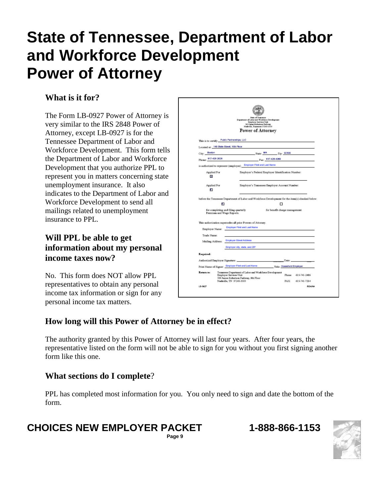# **State of Tennessee, Department of Labor and Workforce Development Power of Attorney**

### **What is it for?**

The Form LB-0927 Power of Attorney is very similar to the IRS 2848 Power of Attorney, except LB-0927 is for the Tennessee Department of Labor and Workforce Development. This form tells the Department of Labor and Workforce Development that you authorize PPL to represent you in matters concerning state unemployment insurance. It also indicates to the Department of Labor and Workforce Development to send all mailings related to unemployment insurance to PPL.

#### **Will PPL be able to get information about my personal income taxes now?**

No. This form does NOT allow PPL representatives to obtain any personal income tax information or sign for any personal income tax matters.

| State of Temperate<br>Department of Labor and Workforce Development.<br><b>Employer Services Unit</b><br>500 James Robertson Parkway<br>Nadwills, Texasses 37245-3555<br>Power of Attorney |                                                                                                                                                                                                           |  |  |  |  |  |  |
|--------------------------------------------------------------------------------------------------------------------------------------------------------------------------------------------|-----------------------------------------------------------------------------------------------------------------------------------------------------------------------------------------------------------|--|--|--|--|--|--|
|                                                                                                                                                                                            | This is to certify: Public Partnerships, LLC                                                                                                                                                              |  |  |  |  |  |  |
|                                                                                                                                                                                            | Located at: 148 State Street, 10th Floor                                                                                                                                                                  |  |  |  |  |  |  |
| Boston<br>City:<br>Phone: 617-426-2028                                                                                                                                                     | State: $MA$ $Z_{\text{inc}}$ 02109                                                                                                                                                                        |  |  |  |  |  |  |
|                                                                                                                                                                                            | $F_{\text{RIC}}$ 617-428-4060<br>is authorized to represent (employer) Employer First and Last Name                                                                                                       |  |  |  |  |  |  |
| Applied For<br>×                                                                                                                                                                           | Employer's Federal Employer Identification Number:                                                                                                                                                        |  |  |  |  |  |  |
| Applied For<br><b>CS</b>                                                                                                                                                                   | Employer's Tennessee Employer Account Number:                                                                                                                                                             |  |  |  |  |  |  |
|                                                                                                                                                                                            | before the Tennessee Department of Labor and Workforce Development for the item(s) checked below:                                                                                                         |  |  |  |  |  |  |
|                                                                                                                                                                                            | 25<br>□                                                                                                                                                                                                   |  |  |  |  |  |  |
|                                                                                                                                                                                            | for completing and filing quarterly<br>for benefit charge management.<br>Premium and Wage Reports.                                                                                                        |  |  |  |  |  |  |
|                                                                                                                                                                                            | This authorization supersedes all prior Powers of Attorney.                                                                                                                                               |  |  |  |  |  |  |
| Employer Name:                                                                                                                                                                             | Employer First and Last Name                                                                                                                                                                              |  |  |  |  |  |  |
| Trade Name:                                                                                                                                                                                |                                                                                                                                                                                                           |  |  |  |  |  |  |
|                                                                                                                                                                                            | Mailing Address: Employer Street Address                                                                                                                                                                  |  |  |  |  |  |  |
|                                                                                                                                                                                            | Employer city, state, and ZIP                                                                                                                                                                             |  |  |  |  |  |  |
|                                                                                                                                                                                            |                                                                                                                                                                                                           |  |  |  |  |  |  |
| Required:                                                                                                                                                                                  |                                                                                                                                                                                                           |  |  |  |  |  |  |
|                                                                                                                                                                                            | Authorized Employer Signature:<br>Date:                                                                                                                                                                   |  |  |  |  |  |  |
|                                                                                                                                                                                            | Print Name of Signer: Employer First and Last Name Title: Household Employer                                                                                                                              |  |  |  |  |  |  |
| Estura to:                                                                                                                                                                                 | Tennessee Department of Labor and Workforce Development<br>Employer Services Unit<br>Phone:<br>615-741-2486<br>500 James Robertson Parkway, 8th Floor<br>Nashville, TN 37245-3555<br>FAX:<br>615-741-7214 |  |  |  |  |  |  |

### **How long will this Power of Attorney be in effect?**

The authority granted by this Power of Attorney will last four years. After four years, the representative listed on the form will not be able to sign for you without you first signing another form like this one.

#### **What sections do I complete**?

PPL has completed most information for you. You only need to sign and date the bottom of the form.

# **CHOICES NEW EMPLOYER PACKET 1-888-866-1153**

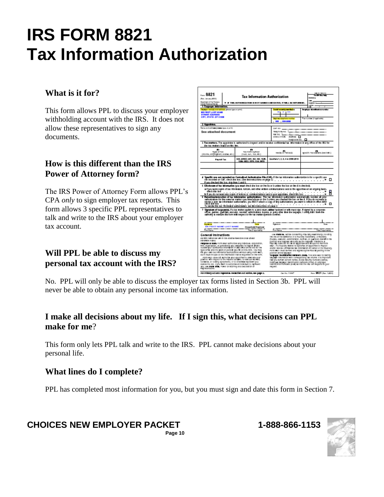# **IRS FORM 8821 Tax Information Authorization**

#### **What is it for?**

This form allows PPL to discuss your employer withholding account with the IRS. It does not allow these representatives to sign any documents.

#### **How is this different than the IRS Power of Attorney form?**

The IRS Power of Attorney Form allows PPL's CPA *only* to sign employer tax reports. This form allows 3 specific PPL representatives to talk and write to the IRS about your employer tax account.

#### **Will PPL be able to discuss my personal tax account with the IRS?**

| <b>MAIN 187678</b><br>8821<br><b>To Dit Bo Note</b><br><b>Tax Information Authorization</b><br>----<br>Simulation 200<br>$\cdots$<br>Descheen ditte Tessey<br><b>F. P. THIS AUTHORIZATION IS NOT SENSED AND DATED. IT WILL BE RETURN ID.</b><br><br>Interal Personal Design<br><b>SEP</b>                                                                                                                                                                                                                                                                                                                                                                                                                                                                                                                                                                                                                    |  |                                                                                                                                                                                                                                                                                                                      |                                                                                                                                                                                                                                                                                                                                                                                                                                                                                                                                                                                                                                                                                                                                                                                                                                                                                                                                                         |                     |                                  |  |                                   |  |  |
|--------------------------------------------------------------------------------------------------------------------------------------------------------------------------------------------------------------------------------------------------------------------------------------------------------------------------------------------------------------------------------------------------------------------------------------------------------------------------------------------------------------------------------------------------------------------------------------------------------------------------------------------------------------------------------------------------------------------------------------------------------------------------------------------------------------------------------------------------------------------------------------------------------------|--|----------------------------------------------------------------------------------------------------------------------------------------------------------------------------------------------------------------------------------------------------------------------------------------------------------------------|---------------------------------------------------------------------------------------------------------------------------------------------------------------------------------------------------------------------------------------------------------------------------------------------------------------------------------------------------------------------------------------------------------------------------------------------------------------------------------------------------------------------------------------------------------------------------------------------------------------------------------------------------------------------------------------------------------------------------------------------------------------------------------------------------------------------------------------------------------------------------------------------------------------------------------------------------------|---------------------|----------------------------------|--|-----------------------------------|--|--|
| 1 Taxpayer information.<br>ing men man it is an interest of the series of prints                                                                                                                                                                                                                                                                                                                                                                                                                                                                                                                                                                                                                                                                                                                                                                                                                             |  |                                                                                                                                                                                                                                                                                                                      | id samtig medal ()                                                                                                                                                                                                                                                                                                                                                                                                                                                                                                                                                                                                                                                                                                                                                                                                                                                                                                                                      |                     |                                  |  | <b>Broker Hard</b><br>eina rundu  |  |  |
| <b>ER FIRST LAST HANS</b>                                                                                                                                                                                                                                                                                                                                                                                                                                                                                                                                                                                                                                                                                                                                                                                                                                                                                    |  |                                                                                                                                                                                                                                                                                                                      |                                                                                                                                                                                                                                                                                                                                                                                                                                                                                                                                                                                                                                                                                                                                                                                                                                                                                                                                                         |                     | 1883                             |  |                                   |  |  |
| <b>STREET ACCRESS</b>                                                                                                                                                                                                                                                                                                                                                                                                                                                                                                                                                                                                                                                                                                                                                                                                                                                                                        |  |                                                                                                                                                                                                                                                                                                                      |                                                                                                                                                                                                                                                                                                                                                                                                                                                                                                                                                                                                                                                                                                                                                                                                                                                                                                                                                         |                     |                                  |  |                                   |  |  |
| CITY, STATE DP CODE                                                                                                                                                                                                                                                                                                                                                                                                                                                                                                                                                                                                                                                                                                                                                                                                                                                                                          |  |                                                                                                                                                                                                                                                                                                                      |                                                                                                                                                                                                                                                                                                                                                                                                                                                                                                                                                                                                                                                                                                                                                                                                                                                                                                                                                         | <b>Design</b>       | m islashana mumbar               |  | 1 Longwide (Fagellack)            |  |  |
|                                                                                                                                                                                                                                                                                                                                                                                                                                                                                                                                                                                                                                                                                                                                                                                                                                                                                                              |  |                                                                                                                                                                                                                                                                                                                      |                                                                                                                                                                                                                                                                                                                                                                                                                                                                                                                                                                                                                                                                                                                                                                                                                                                                                                                                                         | , 209, 000          |                                  |  |                                   |  |  |
| 2 Appointee.                                                                                                                                                                                                                                                                                                                                                                                                                                                                                                                                                                                                                                                                                                                                                                                                                                                                                                 |  |                                                                                                                                                                                                                                                                                                                      |                                                                                                                                                                                                                                                                                                                                                                                                                                                                                                                                                                                                                                                                                                                                                                                                                                                                                                                                                         |                     |                                  |  |                                   |  |  |
| Nama analisalikwan juliawa iyya ne priziji                                                                                                                                                                                                                                                                                                                                                                                                                                                                                                                                                                                                                                                                                                                                                                                                                                                                   |  |                                                                                                                                                                                                                                                                                                                      | CAP NO.                                                                                                                                                                                                                                                                                                                                                                                                                                                                                                                                                                                                                                                                                                                                                                                                                                                                                                                                                 |                     |                                  |  |                                   |  |  |
| See attached document                                                                                                                                                                                                                                                                                                                                                                                                                                                                                                                                                                                                                                                                                                                                                                                                                                                                                        |  |                                                                                                                                                                                                                                                                                                                      | THROTOGRAPH.<br>racks. 1<br>creo: insee.<br>ACCHINE I<br>THRONOIS NO.<br>п                                                                                                                                                                                                                                                                                                                                                                                                                                                                                                                                                                                                                                                                                                                                                                                                                                                                              |                     |                                  |  |                                   |  |  |
| the tax reators interior this line.                                                                                                                                                                                                                                                                                                                                                                                                                                                                                                                                                                                                                                                                                                                                                                                                                                                                          |  | 3 Taxonations. The appointee is nationized to inspect antilor receive confidential tax. Information in any office of the RS for                                                                                                                                                                                      |                                                                                                                                                                                                                                                                                                                                                                                                                                                                                                                                                                                                                                                                                                                                                                                                                                                                                                                                                         |                     |                                  |  |                                   |  |  |
| ø.<br>THOM OF THE<br>importe, amploement, a spise, etc.)                                                                                                                                                                                                                                                                                                                                                                                                                                                                                                                                                                                                                                                                                                                                                                                                                                                     |  | ×.<br>TES PORT NUMBER<br>(1040, 841, 320, 601)                                                                                                                                                                                                                                                                       | wares of Fericans                                                                                                                                                                                                                                                                                                                                                                                                                                                                                                                                                                                                                                                                                                                                                                                                                                                                                                                                       |                     |                                  |  | specific manufations (see instr.) |  |  |
| <b>Payroll Tax</b>                                                                                                                                                                                                                                                                                                                                                                                                                                                                                                                                                                                                                                                                                                                                                                                                                                                                                           |  | \$40.840EZ.841.W2.W2.1000.<br>1009, 0852, 2570, 554, 0855                                                                                                                                                                                                                                                            |                                                                                                                                                                                                                                                                                                                                                                                                                                                                                                                                                                                                                                                                                                                                                                                                                                                                                                                                                         |                     | Guarbora 1, 2, 3, 4 in 2008 2018 |  |                                   |  |  |
|                                                                                                                                                                                                                                                                                                                                                                                                                                                                                                                                                                                                                                                                                                                                                                                                                                                                                                              |  |                                                                                                                                                                                                                                                                                                                      |                                                                                                                                                                                                                                                                                                                                                                                                                                                                                                                                                                                                                                                                                                                                                                                                                                                                                                                                                         |                     |                                  |  |                                   |  |  |
|                                                                                                                                                                                                                                                                                                                                                                                                                                                                                                                                                                                                                                                                                                                                                                                                                                                                                                              |  |                                                                                                                                                                                                                                                                                                                      |                                                                                                                                                                                                                                                                                                                                                                                                                                                                                                                                                                                                                                                                                                                                                                                                                                                                                                                                                         |                     |                                  |  |                                   |  |  |
| If you checked this box, skip inns 5 and 6.<br>5 Effectorum of tax information (you must check the box on the Enior blunden the box on line it is checked).<br>a Hyou want copies of tax information, rations, and other written communications sent to the appointee areas arguing fassis.<br>creck that bod<br>п<br>be if you do not want any copies of notices or communications sent to your appointee, check this best<br>Returntion/wascation of tax information authorizations. This tax information authorization automatically revoluts all prior<br>satsolasions for the same tax maters you interlations on the Sunters you checked the big on the U. P (suito minimate to<br>revolving prim the Information automation, you MUST attack is copy of thy suffortations you want to re<br>▫<br>. <i>.</i> <b>.</b><br>To sevoke this tax information suffering term are the instructions on page 2. |  |                                                                                                                                                                                                                                                                                                                      |                                                                                                                                                                                                                                                                                                                                                                                                                                                                                                                                                                                                                                                                                                                                                                                                                                                                                                                                                         |                     |                                  |  |                                   |  |  |
|                                                                                                                                                                                                                                                                                                                                                                                                                                                                                                                                                                                                                                                                                                                                                                                                                                                                                                              |  | 7. Signature of taxpayer(s). If a tax mater applies to a juint seken, either hashned or wite masksigs. Faigned by a corporate<br>- office, pater, guardian, executor, secoles, administrate, trustee, or pater ofter that the tax<br>aginosis in execute this form with respect to the tax mattern perticle conduct. |                                                                                                                                                                                                                                                                                                                                                                                                                                                                                                                                                                                                                                                                                                                                                                                                                                                                                                                                                         |                     |                                  |  |                                   |  |  |
| <b>Spring</b><br>ED FIRST NAME LAST NAME                                                                                                                                                                                                                                                                                                                                                                                                                                                                                                                                                                                                                                                                                                                                                                                                                                                                     |  | ---<br><b>Date</b><br><b>Household Employer</b>                                                                                                                                                                                                                                                                      |                                                                                                                                                                                                                                                                                                                                                                                                                                                                                                                                                                                                                                                                                                                                                                                                                                                                                                                                                         | Ignore              |                                  |  | <b>Date</b>                       |  |  |
| <b>Distribute</b>                                                                                                                                                                                                                                                                                                                                                                                                                                                                                                                                                                                                                                                                                                                                                                                                                                                                                            |  | The illustration of the                                                                                                                                                                                                                                                                                              |                                                                                                                                                                                                                                                                                                                                                                                                                                                                                                                                                                                                                                                                                                                                                                                                                                                                                                                                                         | <b>Districtions</b> |                                  |  | Tab (Fausthalt)                   |  |  |
| Conoral Instructions<br>Becifich networked are to the internal Assemble code streets<br>othershe noing<br>PERIOSO OF RETL Porm esg 1 authorizes any individual, corporation,<br>éta, creatization, or pathwestic you contenido lo inspect ancier.<br>Novime figur configuritas inventisitan in any oxide profile was for the<br>type online anoitre years or periode you for on this rone, vou may<br>file your case test information autocritation without using yoms and t.<br>out it must incuse as tre instruction institute guested on tre-rom.<br>remisses assume ad advocation specifiests seconds your<br>packer, who regard to the record teaming, to emouse welders,<br>contents, or colling agreements, or to charmine represent you<br>percre ine may inglic hart to suincrice an incivicuál to repleant<br>you, use yours adapt nower or sitemeg and pecuatricately<br>RICHARDIEN.              |  |                                                                                                                                                                                                                                                                                                                      | use Ford as, ratios concerning vizable y sentiananjo, to nating<br>the use of the exhibitor of a fourthly readsharip. A fissiolary<br>fousies, essoulor, soministator, no liver, or guardar) standi in tre-<br>position or a taxpaner grounds as the laspaner, membros, a<br>houring consists for an an appointee and about not die roms<br>ears. If a fouriery where to billnotes an appointment impact<br>angier regelies och figentialitet invormstign difficensin or the itsuzians.<br>Form was must be fire and signed by the fibusing acting in the<br>position or the tappaest.<br><b>Taspayer be still Collen numbers (1945).</b> This are used to loanting<br>taxpager insomation with convegending tax returns, it is important<br>ind you write coned names, bode decuty numbers (salva).<br>inski sum bespeele izensi selson numbere (mike), or employer<br>Ioani Romian humaam (sival) ao tres ine via cell respons to your<br><b>NORE</b> |                     |                                  |  |                                   |  |  |
|                                                                                                                                                                                                                                                                                                                                                                                                                                                                                                                                                                                                                                                                                                                                                                                                                                                                                                              |  | For Printer Act And Paperwon. Factorium Act Rollos, and page 2.                                                                                                                                                                                                                                                      |                                                                                                                                                                                                                                                                                                                                                                                                                                                                                                                                                                                                                                                                                                                                                                                                                                                                                                                                                         |                     | CALMA 174147                     |  | New 9921 (Rev. 1200)              |  |  |
|                                                                                                                                                                                                                                                                                                                                                                                                                                                                                                                                                                                                                                                                                                                                                                                                                                                                                                              |  |                                                                                                                                                                                                                                                                                                                      |                                                                                                                                                                                                                                                                                                                                                                                                                                                                                                                                                                                                                                                                                                                                                                                                                                                                                                                                                         |                     |                                  |  |                                   |  |  |

No. PPL will only be able to discuss the employer tax forms listed in Section 3b. PPL will never be able to obtain any personal income tax information.

#### **I make all decisions about my life. If I sign this, what decisions can PPL make for me**?

This form only lets PPL talk and write to the IRS. PPL cannot make decisions about your personal life.

#### **What lines do I complete?**

PPL has completed most information for you, but you must sign and date this form in Section 7.

**NE ED 1 LITT 7 1011 LET**<br>Page 10 **CHOICES NEW EMPLOYER PACKET 1-888-866-1153** 

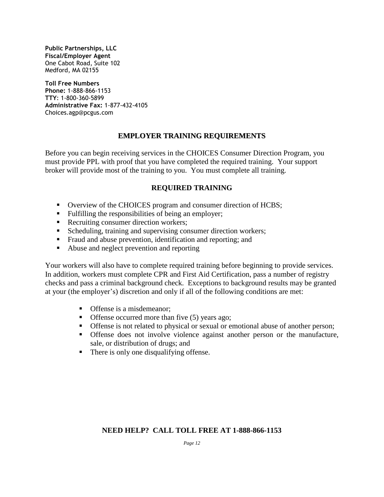**Public Partnerships, LLC Fiscal/Employer Agent** One Cabot Road, Suite 102 Medford, MA 02155

**Toll Free Numbers Phone:** 1-888-866-1153 **TTY**: 1-800-360-5899 **Administrative Fax:** 1-877-432-4105 Choices.agp@pcgus.com

#### **EMPLOYER TRAINING REQUIREMENTS**

Before you can begin receiving services in the CHOICES Consumer Direction Program, you must provide PPL with proof that you have completed the required training. Your support broker will provide most of the training to you. You must complete all training.

#### **REQUIRED TRAINING**

- Overview of the CHOICES program and consumer direction of HCBS;
- **Fulfilling the responsibilities of being an employer;**
- Recruiting consumer direction workers;
- Scheduling, training and supervising consumer direction workers;
- Fraud and abuse prevention, identification and reporting; and
- Abuse and neglect prevention and reporting

Your workers will also have to complete required training before beginning to provide services. In addition, workers must complete CPR and First Aid Certification, pass a number of registry checks and pass a criminal background check. Exceptions to background results may be granted at your (the employer's) discretion and only if all of the following conditions are met:

- **Offense is a misdemeanor;**
- $\blacksquare$  Offense occurred more than five (5) years ago;
- Offense is not related to physical or sexual or emotional abuse of another person;
- Offense does not involve violence against another person or the manufacture, sale, or distribution of drugs; and
- There is only one disqualifying offense.

#### **NEED HELP? CALL TOLL FREE AT 1-888-866-1153**